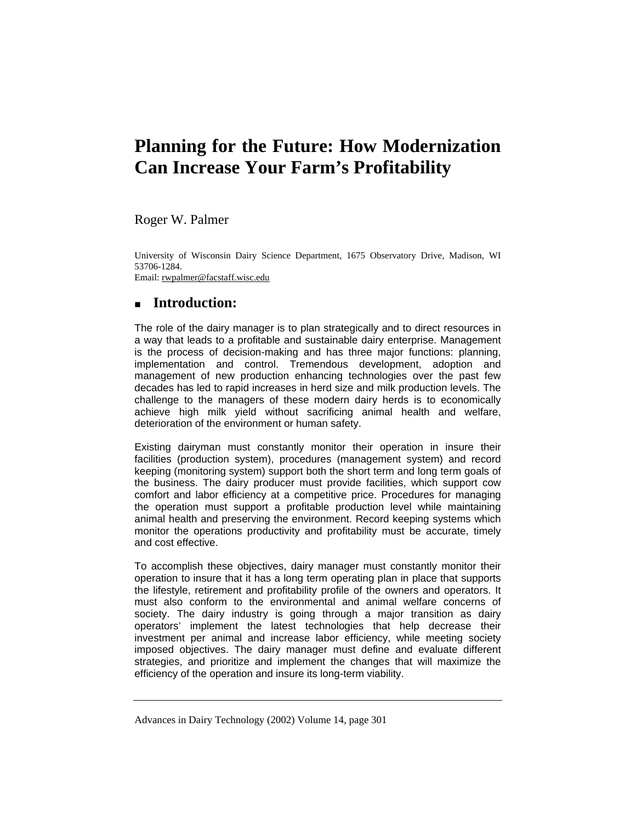# **Planning for the Future: How Modernization Can Increase Your Farm's Profitability**

Roger W. Palmer

University of Wisconsin Dairy Science Department, 1675 Observatory Drive, Madison, WI 53706-1284.

Email: rwpalmer@facstaff.wisc.edu

# **Introduction:**

The role of the dairy manager is to plan strategically and to direct resources in a way that leads to a profitable and sustainable dairy enterprise. Management is the process of decision-making and has three major functions: planning, implementation and control. Tremendous development, adoption and management of new production enhancing technologies over the past few decades has led to rapid increases in herd size and milk production levels. The challenge to the managers of these modern dairy herds is to economically achieve high milk yield without sacrificing animal health and welfare, deterioration of the environment or human safety.

Existing dairyman must constantly monitor their operation in insure their facilities (production system), procedures (management system) and record keeping (monitoring system) support both the short term and long term goals of the business. The dairy producer must provide facilities, which support cow comfort and labor efficiency at a competitive price. Procedures for managing the operation must support a profitable production level while maintaining animal health and preserving the environment. Record keeping systems which monitor the operations productivity and profitability must be accurate, timely and cost effective.

To accomplish these objectives, dairy manager must constantly monitor their operation to insure that it has a long term operating plan in place that supports the lifestyle, retirement and profitability profile of the owners and operators. It must also conform to the environmental and animal welfare concerns of society. The dairy industry is going through a major transition as dairy operators' implement the latest technologies that help decrease their investment per animal and increase labor efficiency, while meeting society imposed objectives. The dairy manager must define and evaluate different strategies, and prioritize and implement the changes that will maximize the efficiency of the operation and insure its long-term viability.

Advances in Dairy Technology (2002) Volume 14, page 301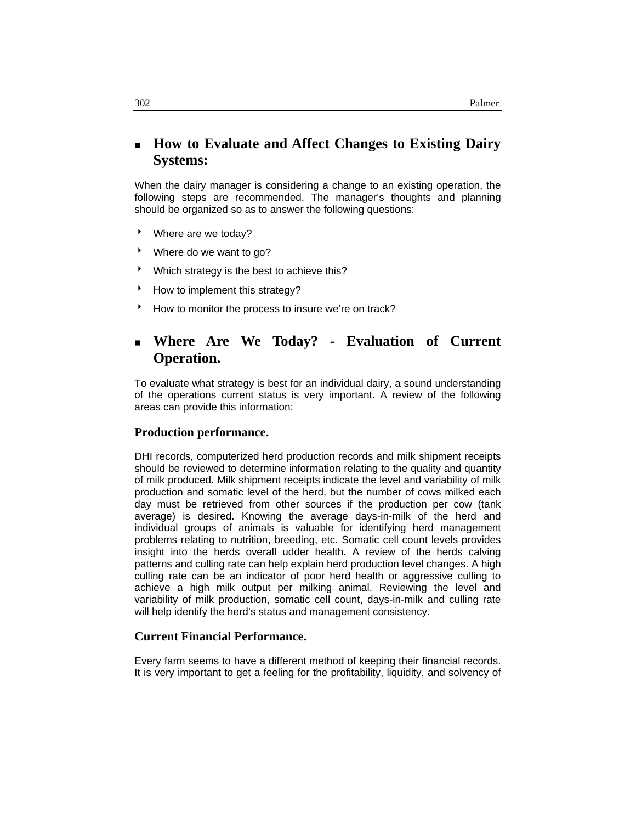# **How to Evaluate and Affect Changes to Existing Dairy Systems:**

When the dairy manager is considering a change to an existing operation, the following steps are recommended. The manager's thoughts and planning should be organized so as to answer the following questions:

- \* Where are we today?
- \* Where do we want to go?
- $\blacktriangleright$  Which strategy is the best to achieve this?
- How to implement this strategy?
- How to monitor the process to insure we're on track?

# **Where Are We Today? - Evaluation of Current Operation.**

To evaluate what strategy is best for an individual dairy, a sound understanding of the operations current status is very important. A review of the following areas can provide this information:

#### **Production performance.**

DHI records, computerized herd production records and milk shipment receipts should be reviewed to determine information relating to the quality and quantity of milk produced. Milk shipment receipts indicate the level and variability of milk production and somatic level of the herd, but the number of cows milked each day must be retrieved from other sources if the production per cow (tank average) is desired. Knowing the average days-in-milk of the herd and individual groups of animals is valuable for identifying herd management problems relating to nutrition, breeding, etc. Somatic cell count levels provides insight into the herds overall udder health. A review of the herds calving patterns and culling rate can help explain herd production level changes. A high culling rate can be an indicator of poor herd health or aggressive culling to achieve a high milk output per milking animal. Reviewing the level and variability of milk production, somatic cell count, days-in-milk and culling rate will help identify the herd's status and management consistency.

#### **Current Financial Performance.**

Every farm seems to have a different method of keeping their financial records. It is very important to get a feeling for the profitability, liquidity, and solvency of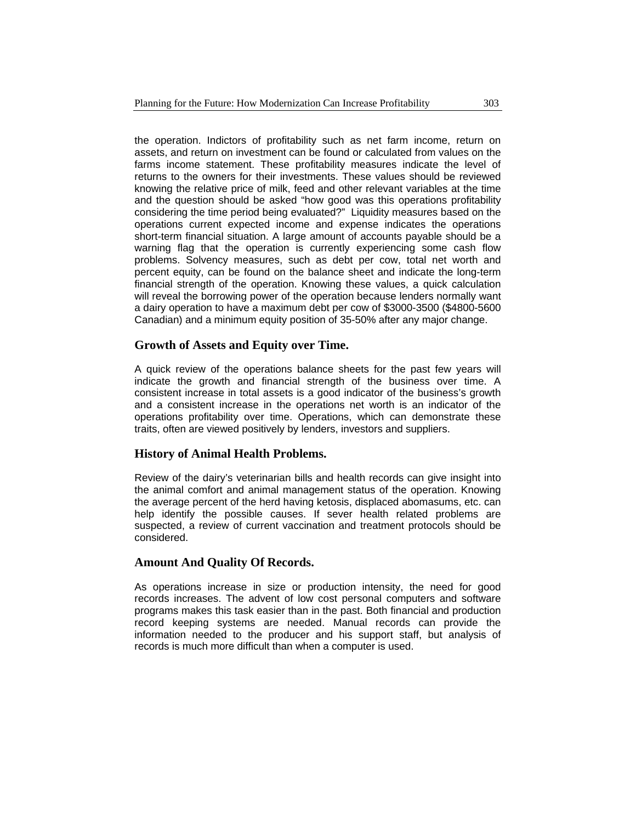the operation. Indictors of profitability such as net farm income, return on assets, and return on investment can be found or calculated from values on the farms income statement. These profitability measures indicate the level of returns to the owners for their investments. These values should be reviewed knowing the relative price of milk, feed and other relevant variables at the time and the question should be asked "how good was this operations profitability considering the time period being evaluated?" Liquidity measures based on the operations current expected income and expense indicates the operations short-term financial situation. A large amount of accounts payable should be a warning flag that the operation is currently experiencing some cash flow problems. Solvency measures, such as debt per cow, total net worth and percent equity, can be found on the balance sheet and indicate the long-term financial strength of the operation. Knowing these values, a quick calculation will reveal the borrowing power of the operation because lenders normally want a dairy operation to have a maximum debt per cow of \$3000-3500 (\$4800-5600 Canadian) and a minimum equity position of 35-50% after any major change.

#### **Growth of Assets and Equity over Time.**

A quick review of the operations balance sheets for the past few years will indicate the growth and financial strength of the business over time. A consistent increase in total assets is a good indicator of the business's growth and a consistent increase in the operations net worth is an indicator of the operations profitability over time. Operations, which can demonstrate these traits, often are viewed positively by lenders, investors and suppliers.

#### **History of Animal Health Problems.**

Review of the dairy's veterinarian bills and health records can give insight into the animal comfort and animal management status of the operation. Knowing the average percent of the herd having ketosis, displaced abomasums, etc. can help identify the possible causes. If sever health related problems are suspected, a review of current vaccination and treatment protocols should be considered.

#### **Amount And Quality Of Records.**

As operations increase in size or production intensity, the need for good records increases. The advent of low cost personal computers and software programs makes this task easier than in the past. Both financial and production record keeping systems are needed. Manual records can provide the information needed to the producer and his support staff, but analysis of records is much more difficult than when a computer is used.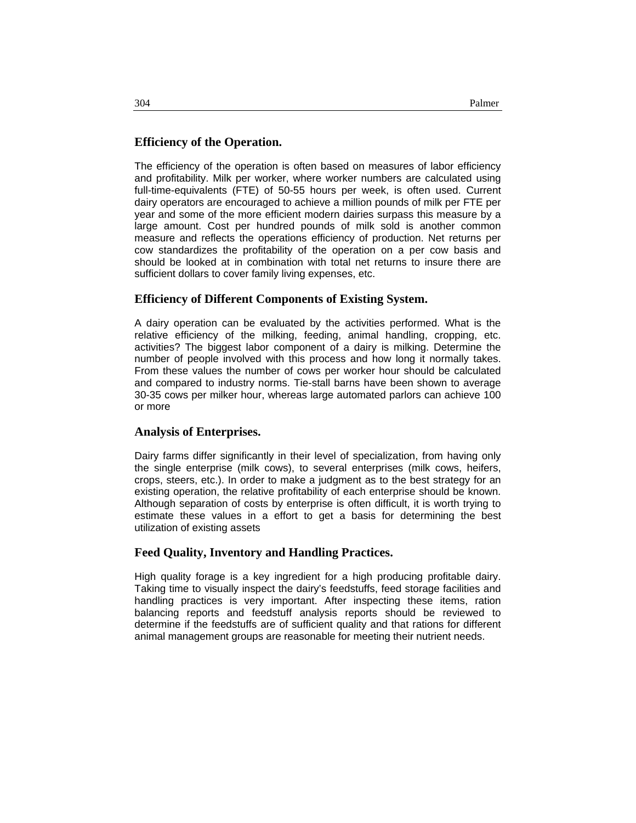# **Efficiency of the Operation.**

The efficiency of the operation is often based on measures of labor efficiency and profitability. Milk per worker, where worker numbers are calculated using full-time-equivalents (FTE) of 50-55 hours per week, is often used. Current dairy operators are encouraged to achieve a million pounds of milk per FTE per year and some of the more efficient modern dairies surpass this measure by a large amount. Cost per hundred pounds of milk sold is another common measure and reflects the operations efficiency of production. Net returns per cow standardizes the profitability of the operation on a per cow basis and should be looked at in combination with total net returns to insure there are sufficient dollars to cover family living expenses, etc.

## **Efficiency of Different Components of Existing System.**

A dairy operation can be evaluated by the activities performed. What is the relative efficiency of the milking, feeding, animal handling, cropping, etc. activities? The biggest labor component of a dairy is milking. Determine the number of people involved with this process and how long it normally takes. From these values the number of cows per worker hour should be calculated and compared to industry norms. Tie-stall barns have been shown to average 30-35 cows per milker hour, whereas large automated parlors can achieve 100 or more

## **Analysis of Enterprises.**

Dairy farms differ significantly in their level of specialization, from having only the single enterprise (milk cows), to several enterprises (milk cows, heifers, crops, steers, etc.). In order to make a judgment as to the best strategy for an existing operation, the relative profitability of each enterprise should be known. Although separation of costs by enterprise is often difficult, it is worth trying to estimate these values in a effort to get a basis for determining the best utilization of existing assets

## **Feed Quality, Inventory and Handling Practices.**

High quality forage is a key ingredient for a high producing profitable dairy. Taking time to visually inspect the dairy's feedstuffs, feed storage facilities and handling practices is very important. After inspecting these items, ration balancing reports and feedstuff analysis reports should be reviewed to determine if the feedstuffs are of sufficient quality and that rations for different animal management groups are reasonable for meeting their nutrient needs.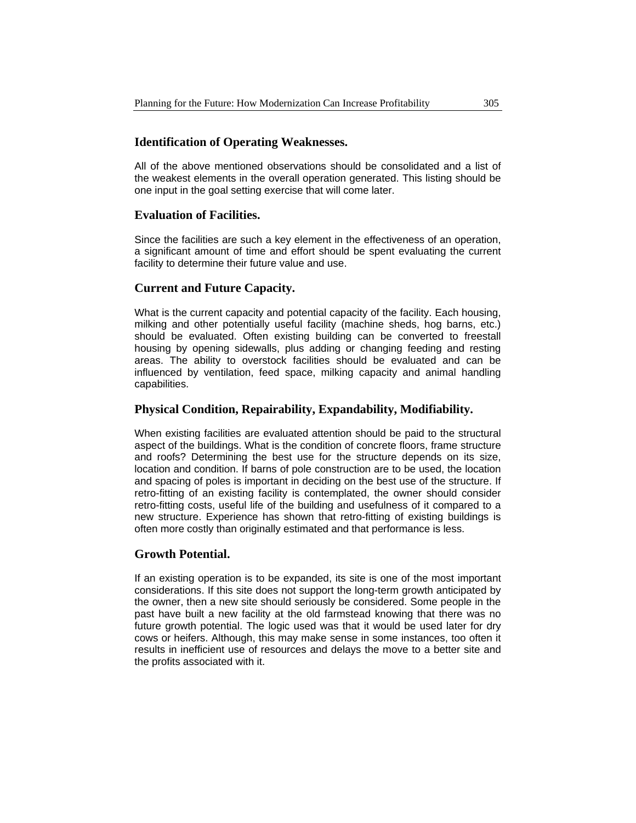### **Identification of Operating Weaknesses.**

All of the above mentioned observations should be consolidated and a list of the weakest elements in the overall operation generated. This listing should be one input in the goal setting exercise that will come later.

#### **Evaluation of Facilities.**

Since the facilities are such a key element in the effectiveness of an operation, a significant amount of time and effort should be spent evaluating the current facility to determine their future value and use.

#### **Current and Future Capacity.**

What is the current capacity and potential capacity of the facility. Each housing, milking and other potentially useful facility (machine sheds, hog barns, etc.) should be evaluated. Often existing building can be converted to freestall housing by opening sidewalls, plus adding or changing feeding and resting areas. The ability to overstock facilities should be evaluated and can be influenced by ventilation, feed space, milking capacity and animal handling capabilities.

#### **Physical Condition, Repairability, Expandability, Modifiability.**

When existing facilities are evaluated attention should be paid to the structural aspect of the buildings. What is the condition of concrete floors, frame structure and roofs? Determining the best use for the structure depends on its size, location and condition. If barns of pole construction are to be used, the location and spacing of poles is important in deciding on the best use of the structure. If retro-fitting of an existing facility is contemplated, the owner should consider retro-fitting costs, useful life of the building and usefulness of it compared to a new structure. Experience has shown that retro-fitting of existing buildings is often more costly than originally estimated and that performance is less.

#### **Growth Potential.**

If an existing operation is to be expanded, its site is one of the most important considerations. If this site does not support the long-term growth anticipated by the owner, then a new site should seriously be considered. Some people in the past have built a new facility at the old farmstead knowing that there was no future growth potential. The logic used was that it would be used later for dry cows or heifers. Although, this may make sense in some instances, too often it results in inefficient use of resources and delays the move to a better site and the profits associated with it.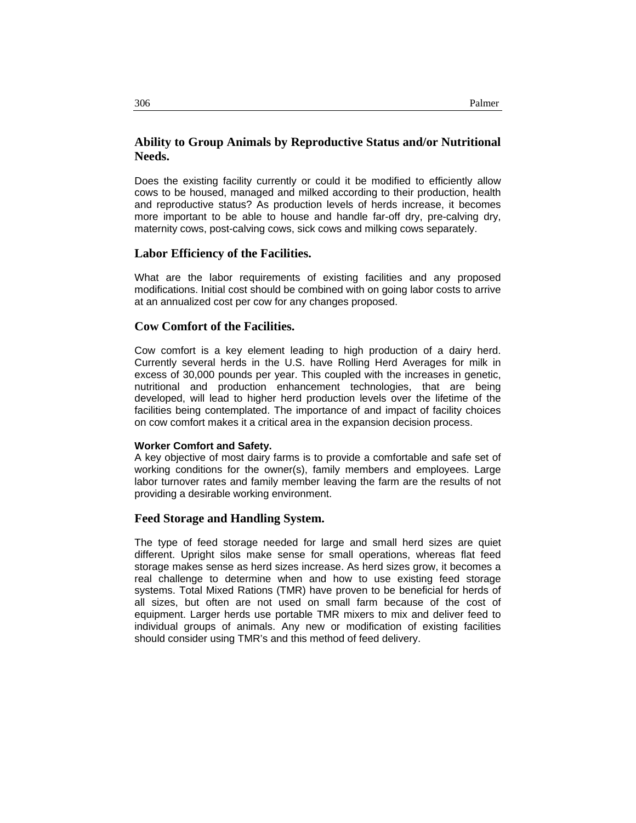## **Ability to Group Animals by Reproductive Status and/or Nutritional Needs.**

Does the existing facility currently or could it be modified to efficiently allow cows to be housed, managed and milked according to their production, health and reproductive status? As production levels of herds increase, it becomes more important to be able to house and handle far-off dry, pre-calving dry, maternity cows, post-calving cows, sick cows and milking cows separately.

#### **Labor Efficiency of the Facilities.**

What are the labor requirements of existing facilities and any proposed modifications. Initial cost should be combined with on going labor costs to arrive at an annualized cost per cow for any changes proposed.

#### **Cow Comfort of the Facilities.**

Cow comfort is a key element leading to high production of a dairy herd. Currently several herds in the U.S. have Rolling Herd Averages for milk in excess of 30,000 pounds per year. This coupled with the increases in genetic, nutritional and production enhancement technologies, that are being developed, will lead to higher herd production levels over the lifetime of the facilities being contemplated. The importance of and impact of facility choices on cow comfort makes it a critical area in the expansion decision process.

#### **Worker Comfort and Safety.**

A key objective of most dairy farms is to provide a comfortable and safe set of working conditions for the owner(s), family members and employees. Large labor turnover rates and family member leaving the farm are the results of not providing a desirable working environment.

#### **Feed Storage and Handling System.**

The type of feed storage needed for large and small herd sizes are quiet different. Upright silos make sense for small operations, whereas flat feed storage makes sense as herd sizes increase. As herd sizes grow, it becomes a real challenge to determine when and how to use existing feed storage systems. Total Mixed Rations (TMR) have proven to be beneficial for herds of all sizes, but often are not used on small farm because of the cost of equipment. Larger herds use portable TMR mixers to mix and deliver feed to individual groups of animals. Any new or modification of existing facilities should consider using TMR's and this method of feed delivery.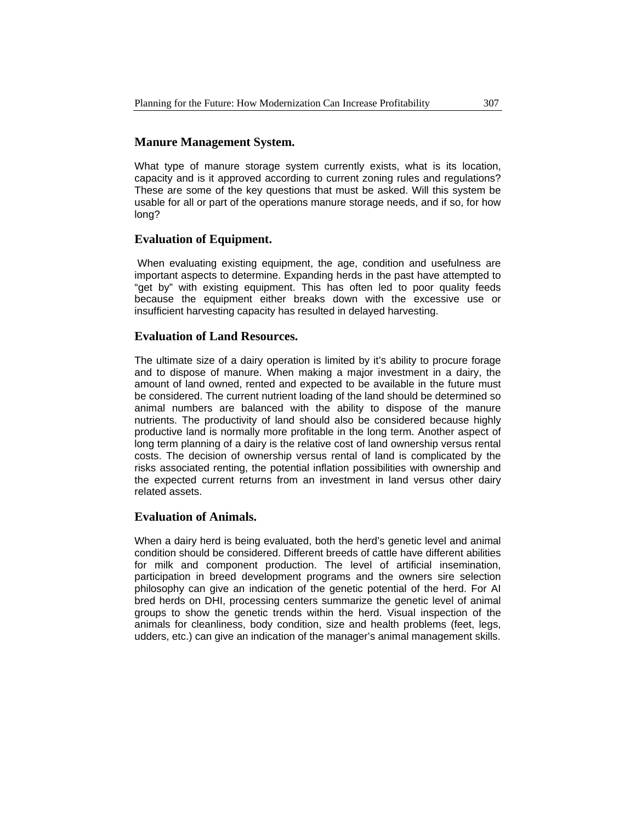### **Manure Management System.**

What type of manure storage system currently exists, what is its location, capacity and is it approved according to current zoning rules and regulations? These are some of the key questions that must be asked. Will this system be usable for all or part of the operations manure storage needs, and if so, for how long?

#### **Evaluation of Equipment.**

When evaluating existing equipment, the age, condition and usefulness are important aspects to determine. Expanding herds in the past have attempted to "get by" with existing equipment. This has often led to poor quality feeds because the equipment either breaks down with the excessive use or insufficient harvesting capacity has resulted in delayed harvesting.

#### **Evaluation of Land Resources.**

The ultimate size of a dairy operation is limited by it's ability to procure forage and to dispose of manure. When making a major investment in a dairy, the amount of land owned, rented and expected to be available in the future must be considered. The current nutrient loading of the land should be determined so animal numbers are balanced with the ability to dispose of the manure nutrients. The productivity of land should also be considered because highly productive land is normally more profitable in the long term. Another aspect of long term planning of a dairy is the relative cost of land ownership versus rental costs. The decision of ownership versus rental of land is complicated by the risks associated renting, the potential inflation possibilities with ownership and the expected current returns from an investment in land versus other dairy related assets.

#### **Evaluation of Animals.**

When a dairy herd is being evaluated, both the herd's genetic level and animal condition should be considered. Different breeds of cattle have different abilities for milk and component production. The level of artificial insemination, participation in breed development programs and the owners sire selection philosophy can give an indication of the genetic potential of the herd. For AI bred herds on DHI, processing centers summarize the genetic level of animal groups to show the genetic trends within the herd. Visual inspection of the animals for cleanliness, body condition, size and health problems (feet, legs, udders, etc.) can give an indication of the manager's animal management skills.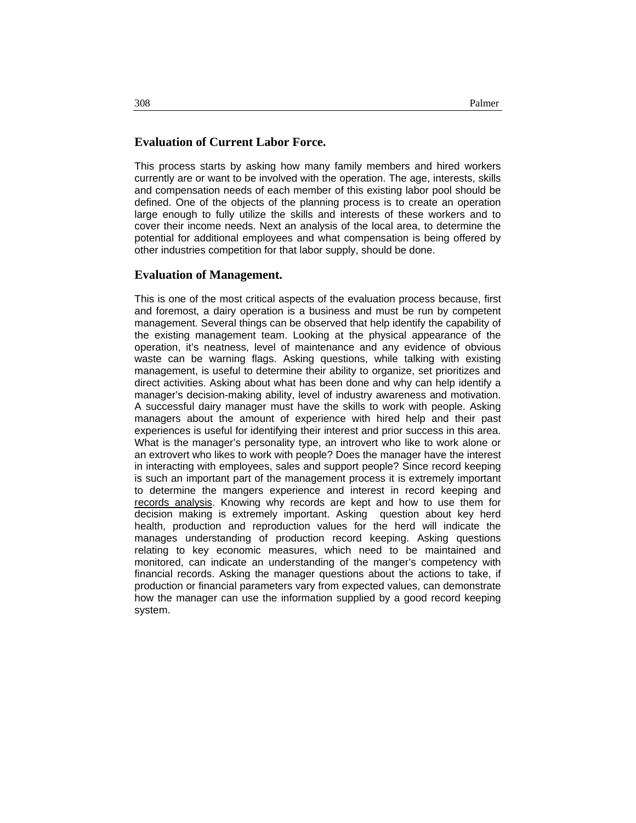#### **Evaluation of Current Labor Force.**

This process starts by asking how many family members and hired workers currently are or want to be involved with the operation. The age, interests, skills and compensation needs of each member of this existing labor pool should be defined. One of the objects of the planning process is to create an operation large enough to fully utilize the skills and interests of these workers and to cover their income needs. Next an analysis of the local area, to determine the potential for additional employees and what compensation is being offered by other industries competition for that labor supply, should be done.

#### **Evaluation of Management.**

This is one of the most critical aspects of the evaluation process because, first and foremost, a dairy operation is a business and must be run by competent management. Several things can be observed that help identify the capability of the existing management team. Looking at the physical appearance of the operation, it's neatness, level of maintenance and any evidence of obvious waste can be warning flags. Asking questions, while talking with existing management, is useful to determine their ability to organize, set prioritizes and direct activities. Asking about what has been done and why can help identify a manager's decision-making ability, level of industry awareness and motivation. A successful dairy manager must have the skills to work with people. Asking managers about the amount of experience with hired help and their past experiences is useful for identifying their interest and prior success in this area. What is the manager's personality type, an introvert who like to work alone or an extrovert who likes to work with people? Does the manager have the interest in interacting with employees, sales and support people? Since record keeping is such an important part of the management process it is extremely important to determine the mangers experience and interest in record keeping and records analysis. Knowing why records are kept and how to use them for decision making is extremely important. Asking question about key herd health, production and reproduction values for the herd will indicate the manages understanding of production record keeping. Asking questions relating to key economic measures, which need to be maintained and monitored, can indicate an understanding of the manger's competency with financial records. Asking the manager questions about the actions to take, if production or financial parameters vary from expected values, can demonstrate how the manager can use the information supplied by a good record keeping system.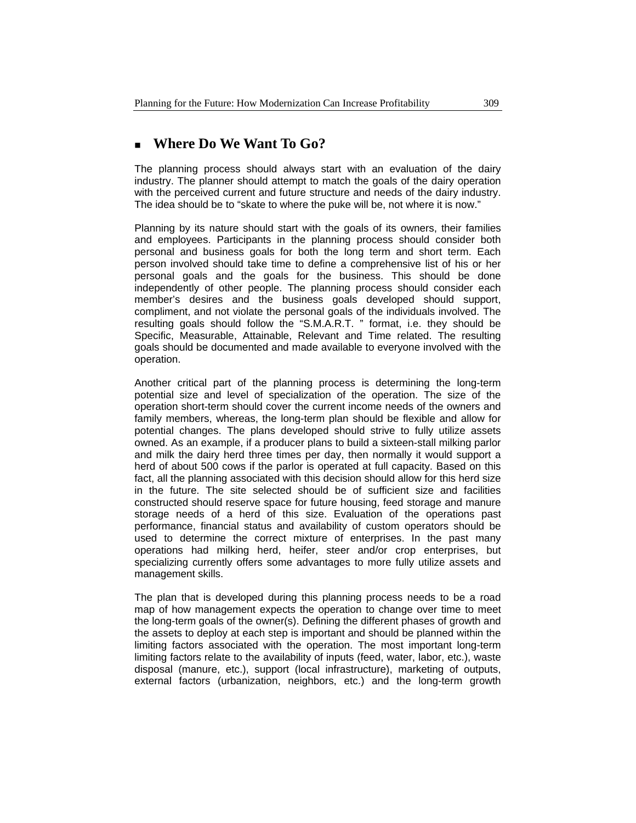# **Where Do We Want To Go?**

The planning process should always start with an evaluation of the dairy industry. The planner should attempt to match the goals of the dairy operation with the perceived current and future structure and needs of the dairy industry. The idea should be to "skate to where the puke will be, not where it is now."

Planning by its nature should start with the goals of its owners, their families and employees. Participants in the planning process should consider both personal and business goals for both the long term and short term. Each person involved should take time to define a comprehensive list of his or her personal goals and the goals for the business. This should be done independently of other people. The planning process should consider each member's desires and the business goals developed should support, compliment, and not violate the personal goals of the individuals involved. The resulting goals should follow the "S.M.A.R.T. " format, i.e. they should be Specific, Measurable, Attainable, Relevant and Time related. The resulting goals should be documented and made available to everyone involved with the operation.

Another critical part of the planning process is determining the long-term potential size and level of specialization of the operation. The size of the operation short-term should cover the current income needs of the owners and family members, whereas, the long-term plan should be flexible and allow for potential changes. The plans developed should strive to fully utilize assets owned. As an example, if a producer plans to build a sixteen-stall milking parlor and milk the dairy herd three times per day, then normally it would support a herd of about 500 cows if the parlor is operated at full capacity. Based on this fact, all the planning associated with this decision should allow for this herd size in the future. The site selected should be of sufficient size and facilities constructed should reserve space for future housing, feed storage and manure storage needs of a herd of this size. Evaluation of the operations past performance, financial status and availability of custom operators should be used to determine the correct mixture of enterprises. In the past many operations had milking herd, heifer, steer and/or crop enterprises, but specializing currently offers some advantages to more fully utilize assets and management skills.

The plan that is developed during this planning process needs to be a road map of how management expects the operation to change over time to meet the long-term goals of the owner(s). Defining the different phases of growth and the assets to deploy at each step is important and should be planned within the limiting factors associated with the operation. The most important long-term limiting factors relate to the availability of inputs (feed, water, labor, etc.), waste disposal (manure, etc.), support (local infrastructure), marketing of outputs, external factors (urbanization, neighbors, etc.) and the long-term growth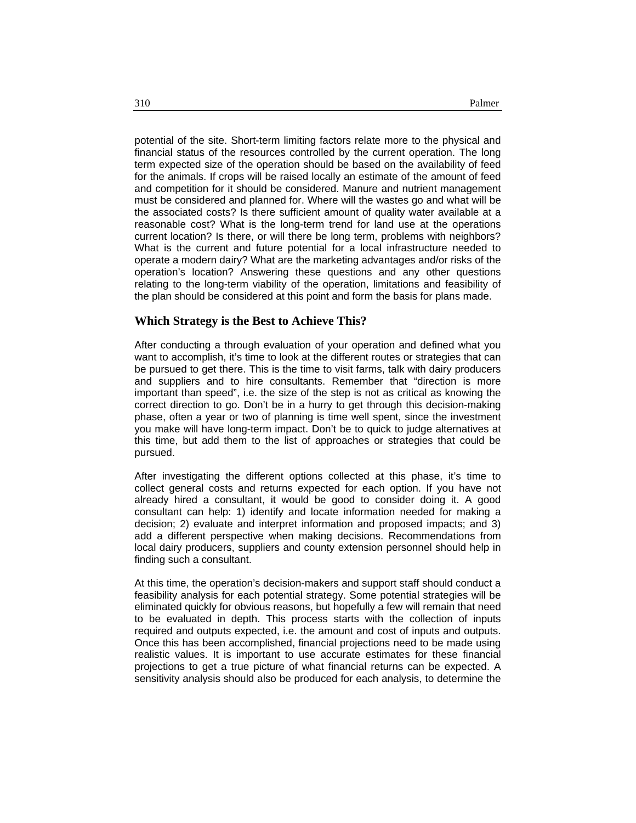potential of the site. Short-term limiting factors relate more to the physical and financial status of the resources controlled by the current operation. The long term expected size of the operation should be based on the availability of feed for the animals. If crops will be raised locally an estimate of the amount of feed and competition for it should be considered. Manure and nutrient management must be considered and planned for. Where will the wastes go and what will be the associated costs? Is there sufficient amount of quality water available at a reasonable cost? What is the long-term trend for land use at the operations current location? Is there, or will there be long term, problems with neighbors? What is the current and future potential for a local infrastructure needed to operate a modern dairy? What are the marketing advantages and/or risks of the operation's location? Answering these questions and any other questions relating to the long-term viability of the operation, limitations and feasibility of the plan should be considered at this point and form the basis for plans made.

#### **Which Strategy is the Best to Achieve This?**

After conducting a through evaluation of your operation and defined what you want to accomplish, it's time to look at the different routes or strategies that can be pursued to get there. This is the time to visit farms, talk with dairy producers and suppliers and to hire consultants. Remember that "direction is more important than speed", i.e. the size of the step is not as critical as knowing the correct direction to go. Don't be in a hurry to get through this decision-making phase, often a year or two of planning is time well spent, since the investment you make will have long-term impact. Don't be to quick to judge alternatives at this time, but add them to the list of approaches or strategies that could be pursued.

After investigating the different options collected at this phase, it's time to collect general costs and returns expected for each option. If you have not already hired a consultant, it would be good to consider doing it. A good consultant can help: 1) identify and locate information needed for making a decision; 2) evaluate and interpret information and proposed impacts; and 3) add a different perspective when making decisions. Recommendations from local dairy producers, suppliers and county extension personnel should help in finding such a consultant.

At this time, the operation's decision-makers and support staff should conduct a feasibility analysis for each potential strategy. Some potential strategies will be eliminated quickly for obvious reasons, but hopefully a few will remain that need to be evaluated in depth. This process starts with the collection of inputs required and outputs expected, i.e. the amount and cost of inputs and outputs. Once this has been accomplished, financial projections need to be made using realistic values. It is important to use accurate estimates for these financial projections to get a true picture of what financial returns can be expected. A sensitivity analysis should also be produced for each analysis, to determine the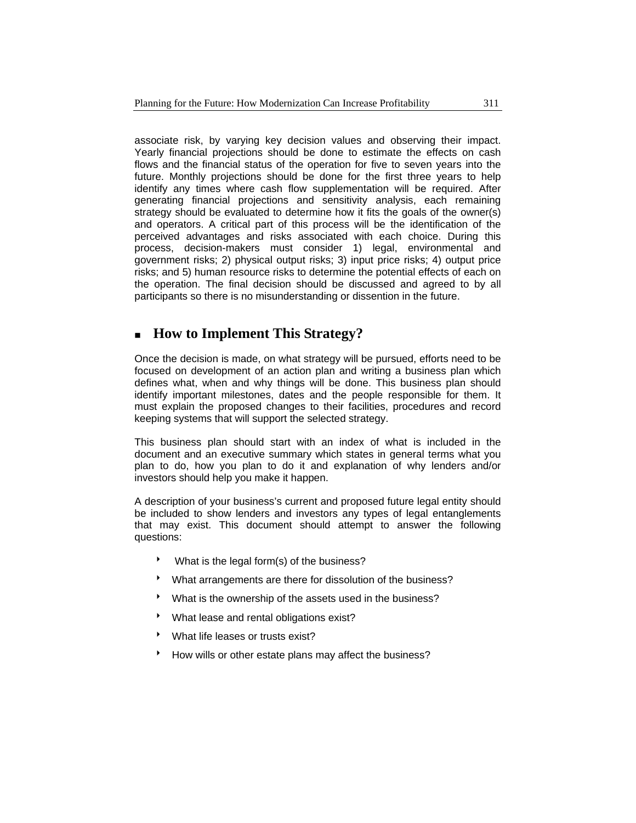associate risk, by varying key decision values and observing their impact. Yearly financial projections should be done to estimate the effects on cash flows and the financial status of the operation for five to seven years into the future. Monthly projections should be done for the first three years to help identify any times where cash flow supplementation will be required. After generating financial projections and sensitivity analysis, each remaining strategy should be evaluated to determine how it fits the goals of the owner(s) and operators. A critical part of this process will be the identification of the perceived advantages and risks associated with each choice. During this process, decision-makers must consider 1) legal, environmental and government risks; 2) physical output risks; 3) input price risks; 4) output price risks; and 5) human resource risks to determine the potential effects of each on the operation. The final decision should be discussed and agreed to by all participants so there is no misunderstanding or dissention in the future.

# **How to Implement This Strategy?**

Once the decision is made, on what strategy will be pursued, efforts need to be focused on development of an action plan and writing a business plan which defines what, when and why things will be done. This business plan should identify important milestones, dates and the people responsible for them. It must explain the proposed changes to their facilities, procedures and record keeping systems that will support the selected strategy.

This business plan should start with an index of what is included in the document and an executive summary which states in general terms what you plan to do, how you plan to do it and explanation of why lenders and/or investors should help you make it happen.

A description of your business's current and proposed future legal entity should be included to show lenders and investors any types of legal entanglements that may exist. This document should attempt to answer the following questions:

- $\bullet$  What is the legal form(s) of the business?
- What arrangements are there for dissolution of the business?
- What is the ownership of the assets used in the business?
- What lease and rental obligations exist?
- What life leases or trusts exist?
- How wills or other estate plans may affect the business?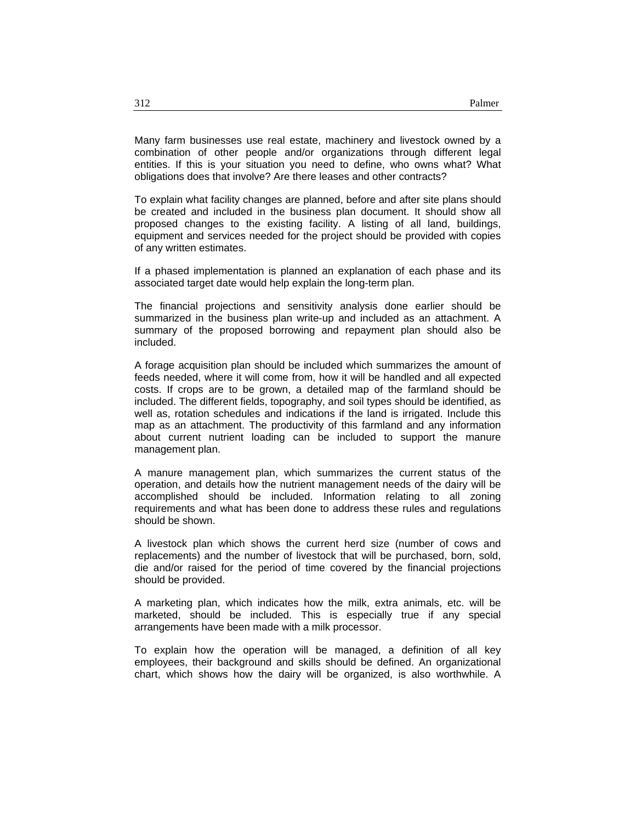Many farm businesses use real estate, machinery and livestock owned by a combination of other people and/or organizations through different legal entities. If this is your situation you need to define, who owns what? What obligations does that involve? Are there leases and other contracts?

To explain what facility changes are planned, before and after site plans should be created and included in the business plan document. It should show all proposed changes to the existing facility. A listing of all land, buildings, equipment and services needed for the project should be provided with copies of any written estimates.

If a phased implementation is planned an explanation of each phase and its associated target date would help explain the long-term plan.

The financial projections and sensitivity analysis done earlier should be summarized in the business plan write-up and included as an attachment. A summary of the proposed borrowing and repayment plan should also be included.

A forage acquisition plan should be included which summarizes the amount of feeds needed, where it will come from, how it will be handled and all expected costs. If crops are to be grown, a detailed map of the farmland should be included. The different fields, topography, and soil types should be identified, as well as, rotation schedules and indications if the land is irrigated. Include this map as an attachment. The productivity of this farmland and any information about current nutrient loading can be included to support the manure management plan.

A manure management plan, which summarizes the current status of the operation, and details how the nutrient management needs of the dairy will be accomplished should be included. Information relating to all zoning requirements and what has been done to address these rules and regulations should be shown.

A livestock plan which shows the current herd size (number of cows and replacements) and the number of livestock that will be purchased, born, sold, die and/or raised for the period of time covered by the financial projections should be provided.

A marketing plan, which indicates how the milk, extra animals, etc. will be marketed, should be included. This is especially true if any special arrangements have been made with a milk processor.

To explain how the operation will be managed, a definition of all key employees, their background and skills should be defined. An organizational chart, which shows how the dairy will be organized, is also worthwhile. A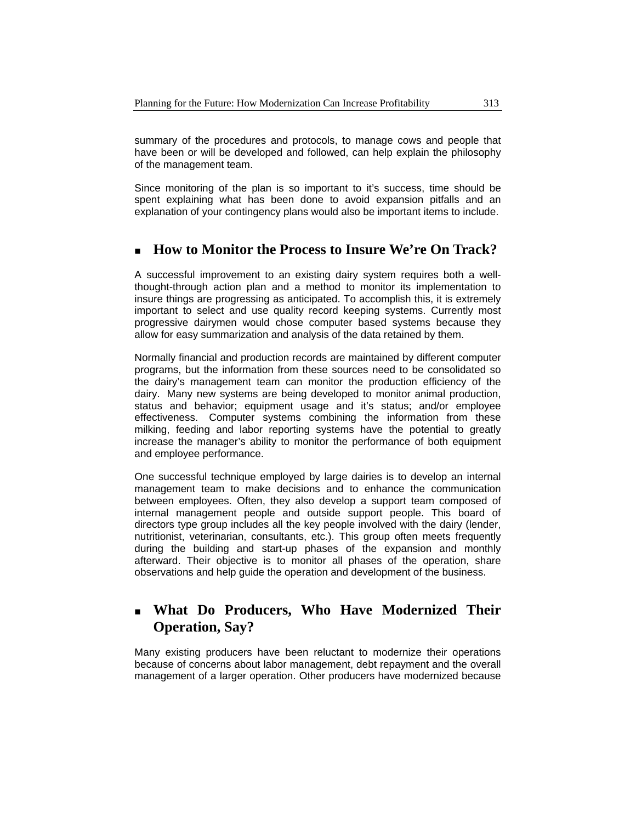summary of the procedures and protocols, to manage cows and people that have been or will be developed and followed, can help explain the philosophy of the management team.

Since monitoring of the plan is so important to it's success, time should be spent explaining what has been done to avoid expansion pitfalls and an explanation of your contingency plans would also be important items to include.

# **How to Monitor the Process to Insure We're On Track?**

A successful improvement to an existing dairy system requires both a wellthought-through action plan and a method to monitor its implementation to insure things are progressing as anticipated. To accomplish this, it is extremely important to select and use quality record keeping systems. Currently most progressive dairymen would chose computer based systems because they allow for easy summarization and analysis of the data retained by them.

Normally financial and production records are maintained by different computer programs, but the information from these sources need to be consolidated so the dairy's management team can monitor the production efficiency of the dairy. Many new systems are being developed to monitor animal production, status and behavior; equipment usage and it's status; and/or employee effectiveness. Computer systems combining the information from these milking, feeding and labor reporting systems have the potential to greatly increase the manager's ability to monitor the performance of both equipment and employee performance.

One successful technique employed by large dairies is to develop an internal management team to make decisions and to enhance the communication between employees. Often, they also develop a support team composed of internal management people and outside support people. This board of directors type group includes all the key people involved with the dairy (lender, nutritionist, veterinarian, consultants, etc.). This group often meets frequently during the building and start-up phases of the expansion and monthly afterward. Their objective is to monitor all phases of the operation, share observations and help guide the operation and development of the business.

# **What Do Producers, Who Have Modernized Their Operation, Say?**

Many existing producers have been reluctant to modernize their operations because of concerns about labor management, debt repayment and the overall management of a larger operation. Other producers have modernized because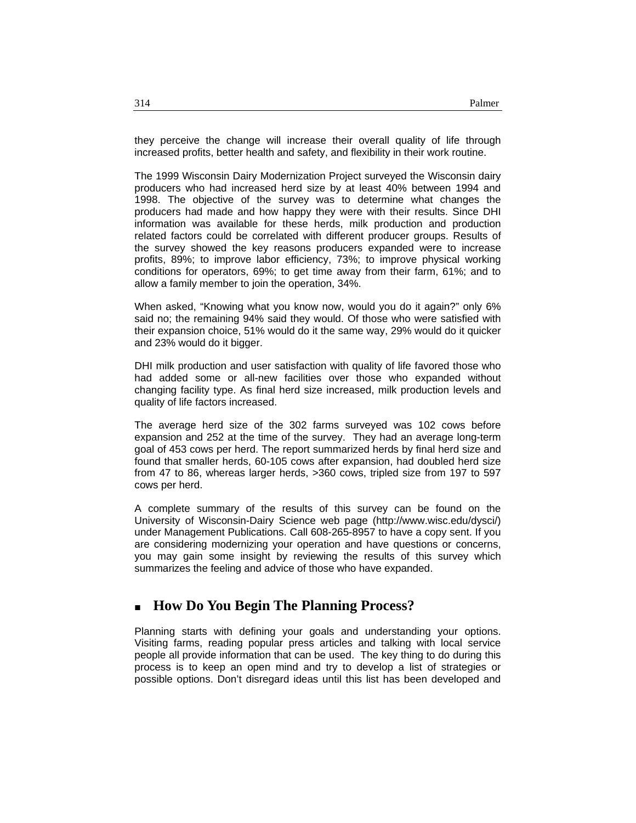they perceive the change will increase their overall quality of life through increased profits, better health and safety, and flexibility in their work routine.

The 1999 Wisconsin Dairy Modernization Project surveyed the Wisconsin dairy producers who had increased herd size by at least 40% between 1994 and 1998. The objective of the survey was to determine what changes the producers had made and how happy they were with their results. Since DHI information was available for these herds, milk production and production related factors could be correlated with different producer groups. Results of the survey showed the key reasons producers expanded were to increase profits, 89%; to improve labor efficiency, 73%; to improve physical working conditions for operators, 69%; to get time away from their farm, 61%; and to allow a family member to join the operation, 34%.

When asked, "Knowing what you know now, would you do it again?" only 6% said no; the remaining 94% said they would. Of those who were satisfied with their expansion choice, 51% would do it the same way, 29% would do it quicker and 23% would do it bigger.

DHI milk production and user satisfaction with quality of life favored those who had added some or all-new facilities over those who expanded without changing facility type. As final herd size increased, milk production levels and quality of life factors increased.

The average herd size of the 302 farms surveyed was 102 cows before expansion and 252 at the time of the survey. They had an average long-term goal of 453 cows per herd. The report summarized herds by final herd size and found that smaller herds, 60-105 cows after expansion, had doubled herd size from 47 to 86, whereas larger herds, >360 cows, tripled size from 197 to 597 cows per herd.

A complete summary of the results of this survey can be found on the University of Wisconsin-Dairy Science web page (http://www.wisc.edu/dysci/) under Management Publications. Call 608-265-8957 to have a copy sent. If you are considering modernizing your operation and have questions or concerns, you may gain some insight by reviewing the results of this survey which summarizes the feeling and advice of those who have expanded.

# **How Do You Begin The Planning Process?**

Planning starts with defining your goals and understanding your options. Visiting farms, reading popular press articles and talking with local service people all provide information that can be used. The key thing to do during this process is to keep an open mind and try to develop a list of strategies or possible options. Don't disregard ideas until this list has been developed and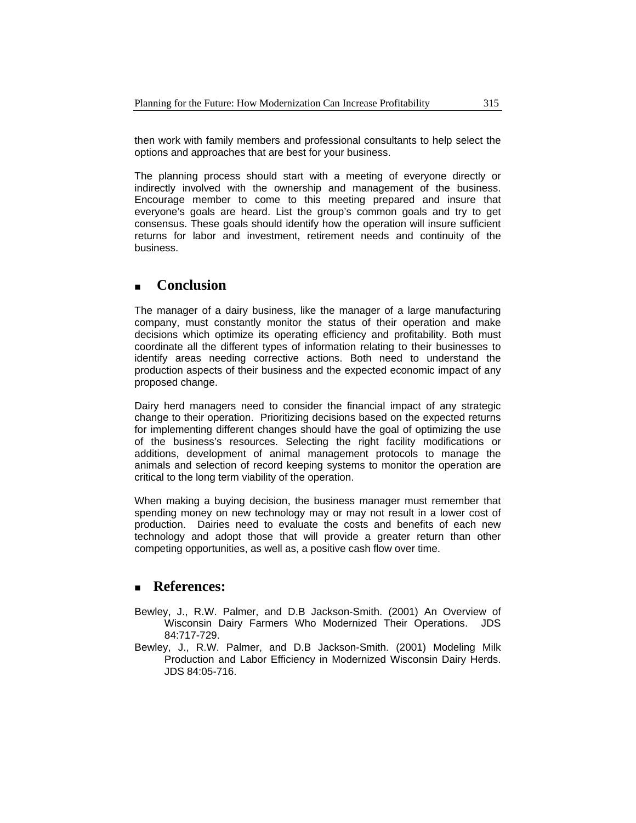then work with family members and professional consultants to help select the options and approaches that are best for your business.

The planning process should start with a meeting of everyone directly or indirectly involved with the ownership and management of the business. Encourage member to come to this meeting prepared and insure that everyone's goals are heard. List the group's common goals and try to get consensus. These goals should identify how the operation will insure sufficient returns for labor and investment, retirement needs and continuity of the business.

# **Conclusion**

The manager of a dairy business, like the manager of a large manufacturing company, must constantly monitor the status of their operation and make decisions which optimize its operating efficiency and profitability. Both must coordinate all the different types of information relating to their businesses to identify areas needing corrective actions. Both need to understand the production aspects of their business and the expected economic impact of any proposed change.

Dairy herd managers need to consider the financial impact of any strategic change to their operation. Prioritizing decisions based on the expected returns for implementing different changes should have the goal of optimizing the use of the business's resources. Selecting the right facility modifications or additions, development of animal management protocols to manage the animals and selection of record keeping systems to monitor the operation are critical to the long term viability of the operation.

When making a buying decision, the business manager must remember that spending money on new technology may or may not result in a lower cost of production. Dairies need to evaluate the costs and benefits of each new technology and adopt those that will provide a greater return than other competing opportunities, as well as, a positive cash flow over time.

# **References:**

- Bewley, J., R.W. Palmer, and D.B Jackson-Smith. (2001) An Overview of Wisconsin Dairy Farmers Who Modernized Their Operations. JDS 84:717-729.
- Bewley, J., R.W. Palmer, and D.B Jackson-Smith. (2001) Modeling Milk Production and Labor Efficiency in Modernized Wisconsin Dairy Herds. JDS 84:05-716.